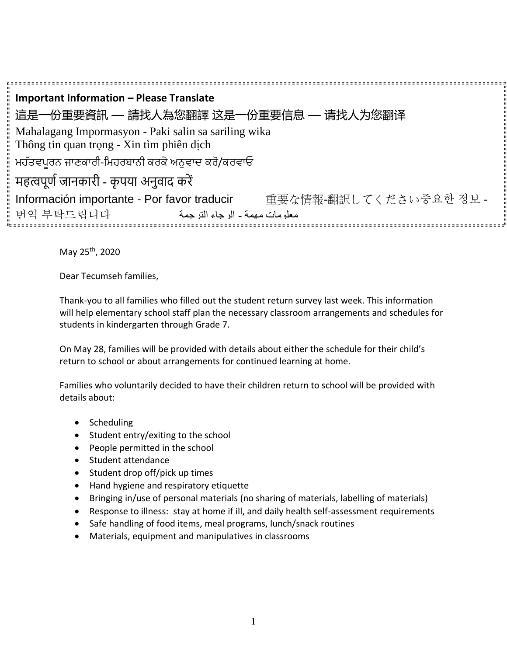**Important Information – Please Translate** 這是一份重要資訊 — 請找人為您翻譯 这是一份重要信息 — 请找人为您翻译 Mahalagang Impormasyon - Paki salin sa sariling wika Thông tin quan trọng - Xin tìm phiên dịch ਮਹੱਤਵਪੂਰਨ ਜਾਣਕਾਰੀ-ਮਮਹਰਬਾਨੀ ਕਰਕੇਅਨੁਵਾਦ ਕਰੋ/ਕਰਵਾਓ महत्वपूर्ण जानकारी - कृपया अनुवाद करें Información importante - Por favor traducir 重要な情報-翻訳してください중요한 정보 - معلومات مهمة - الرجاء الترجمة 부탁드립니다 번역

May 25th, 2020

Dear Tecumseh families,

Thank-you to all families who filled out the student return survey last week. This information will help elementary school staff plan the necessary classroom arrangements and schedules for students in kindergarten through Grade 7.

On May 28, families will be provided with details about either the schedule for their child's return to school or about arrangements for continued learning at home.

Families who voluntarily decided to have their children return to school will be provided with details about:

- Scheduling
- Student entry/exiting to the school
- People permitted in the school
- Student attendance
- Student drop off/pick up times
- Hand hygiene and respiratory etiquette
- Bringing in/use of personal materials (no sharing of materials, labelling of materials)
- Response to illness: stay at home if ill, and daily health self-assessment requirements
- Safe handling of food items, meal programs, lunch/snack routines
- Materials, equipment and manipulatives in classrooms